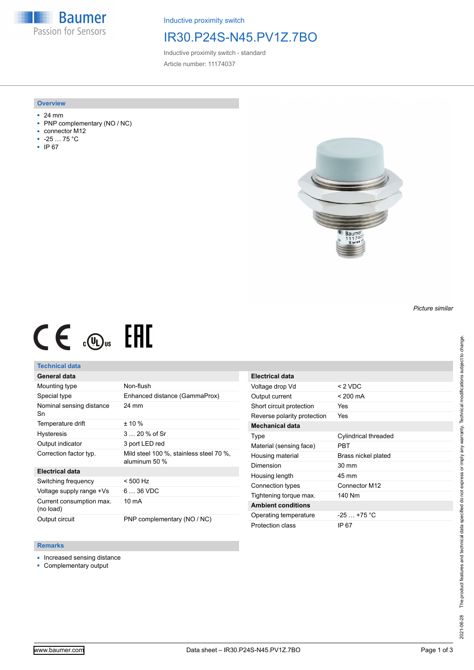**Baumer** Passion for Sensors

Inductive proximity switch

## IR30.P24S-N45.PV1Z.7BO

Inductive proximity switch - standard Article number: 11174037

#### **Overview**

- 24 mm
- PNP complementary (NO / NC)
- connector M12
- -25 … 75 °C
- IP 67



# $CE \mathcal{L}$  ( $\mathcal{L}$  and  $SE$

## **Technical data**

## **General data**

| Mounting type                         | Non-flush                                                |
|---------------------------------------|----------------------------------------------------------|
| Special type                          | Enhanced distance (GammaProx)                            |
| Nominal sensing distance<br>Sn        | 24 mm                                                    |
| Temperature drift                     | $± 10 \%$                                                |
| <b>Hysteresis</b>                     | 3  20 % of Sr                                            |
| Output indicator                      | 3 port LED red                                           |
| Correction factor typ.                | Mild steel 100 %, stainless steel 70 %,<br>aluminum 50 % |
| <b>Electrical data</b>                |                                                          |
| Switching frequency                   | $< 500$ Hz                                               |
| Voltage supply range +Vs              | 6  36 VDC                                                |
| Current consumption max.<br>(no load) | 10 mA                                                    |
| Output circuit                        | PNP complementary (NO / NC)                              |

| <b>Electrical data</b>      |                      |
|-----------------------------|----------------------|
| Voltage drop Vd             | $< 2$ VDC            |
| Output current              | < 200 mA             |
| Short circuit protection    | Yes                  |
| Reverse polarity protection | Yes                  |
| <b>Mechanical data</b>      |                      |
| Type                        | Cylindrical threaded |
| Material (sensing face)     | PRT                  |
| Housing material            | Brass nickel plated  |
| Dimension                   | $30 \text{ mm}$      |
| Housing length              | 45 mm                |
| Connection types            | Connector M12        |
| Tightening torque max.      | 140 Nm               |
| <b>Ambient conditions</b>   |                      |
| Operating temperature       | $-25 - +75$ °C       |
| Protection class            | IP 67                |

#### **Remarks**

- Increased sensing distance
- Complementary output

The product features and technical data specified do not express or imply any warranty. Technical modifications subject to change. 2021-06-28 The product features and technical data specified do not express or imply any warranty. Technical modifications subject to change. 2021-06-28

*Picture similar*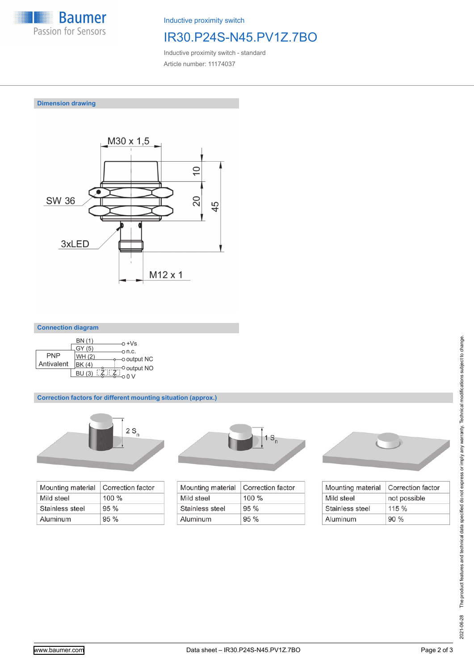

Inductive proximity switch

# IR30.P24S-N45.PV1Z.7BO

Inductive proximity switch - standard Article number: 11174037

**Dimension drawing**



| <b>Connection diagram</b> |  |
|---------------------------|--|
|                           |  |

|            | BN (1)<br>GY (5)        | n +Vs                 |
|------------|-------------------------|-----------------------|
| <b>PNP</b> | WH (2)                  | o n.c.<br>o output NC |
| Antivalent | BK (4)<br><b>BU</b> (3) | O output NO           |

### **Correction factors for different mounting situation (approx.)**



| Mounting material | Correction factor |
|-------------------|-------------------|
| Mild steel        | $100 \%$          |
| Stainless steel   | 95%               |
| Aluminum          | 95%               |



| Mounting material | Correction factor |
|-------------------|-------------------|
| Mild steel        | $100\%$           |
| Stainless steel   | 95%               |
| Aluminum          | 95%               |



| Mounting material | Correction factor |
|-------------------|-------------------|
| Mild steel        | not possible      |
| Stainless steel   | 115%              |
| Aluminum          | 90%               |